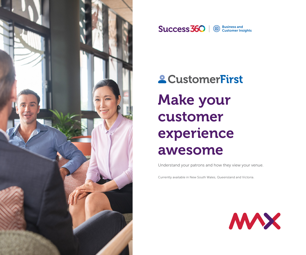



Customer Insights

# **2 CustomerFirst** Make your customer experience awesome

Understand your patrons and how they view your venue.

Currently available in New South Wales, Queensland and Victoria.

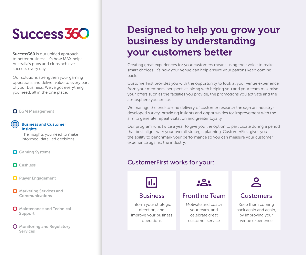# **Success 360**

Success360 is our unified approach to better business. It's how MAX helps Australia's pubs and clubs achieve success every day.

Our solutions strengthen your gaming operations and deliver value to every part of your business. We've got everything you need, all in the one place.



# Designed to help you grow your business by understanding your customers better

Creating great experiences for your customers means using their voice to make smart choices. It's how your venue can help ensure your patrons keep coming back.

CustomerFirst provides you with the opportunity to look at your venue experience from your members' perspective, along with helping you and your team maximise your offers such as the facilities you provide, the promotions you activate and the atmosphere you create.

We manage the end-to-end delivery of customer research through an industrydeveloped survey, providing insights and opportunities for improvement with the aim to generate repeat visitation and greater loyalty.

Our program runs twice a year to give you the option to participate during a period that best aligns with your overall strategic planning. CustomerFirst gives you the ability to benchmark your performance so you can measure your customer experience against the industry.

### CustomerFirst works for your:



### Business

Inform your strategic direction, and improve your business operations

## Frontline Team

Motivate and coach your team, and celebrate great customer service



## **Customers**

Keep them coming back again and again, by improving your venue experience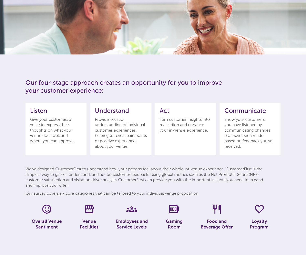

Our four-stage approach creates an opportunity for you to improve your customer experience:

### Listen

Give your customers a voice to express their thoughts on what your venue does well and where you can improve.

### Understand

Provide holistic understanding of individual customer experiences, helping to reveal pain points or positive experiences about your venue.

### Act

Turn customer insights into real action and enhance your in-venue experience.

### Communicate

Show your customers you have listened by communicating changes that have been made based on feedback you've received.

We've designed CustomerFirst to understand how your patrons feel about their whole-of-venue experience. CustomerFirst is the simplest way to gather, understand, and act on customer feedback. Using global metrics such as the Net Promoter Score (NPS), customer satisfaction and visitation driver analysis CustomerFirst can provide you with the important insights you need to expand and improve your offer.

Our survey covers six core categories that can be tailored to your individual venue proposition



Overall Venue Sentiment



Venue **Facilities** 



Service Levels

Employees and



Gaming Room

ΨQ

Food and Beverage Offer

Loyalty Program